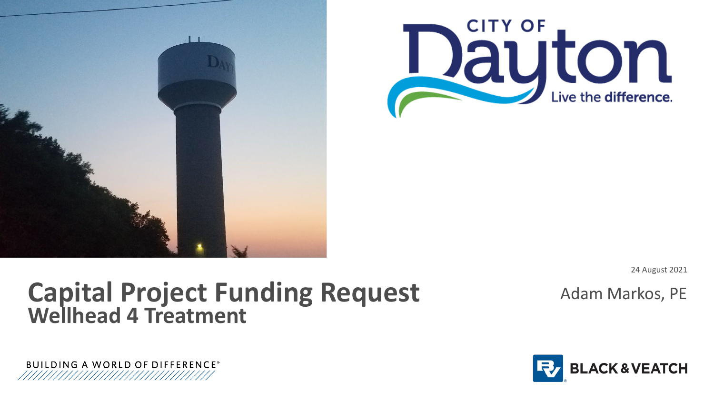



24 August 2021

### Adam Markos, PE

### **Capital Project Funding Request Wellhead 4 Treatment**



**BUILDING A WORLD OF DIFFERENCE®**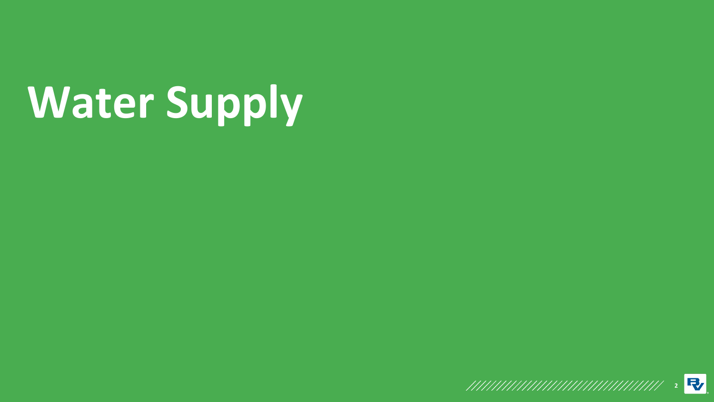# **Water Supply**

**2**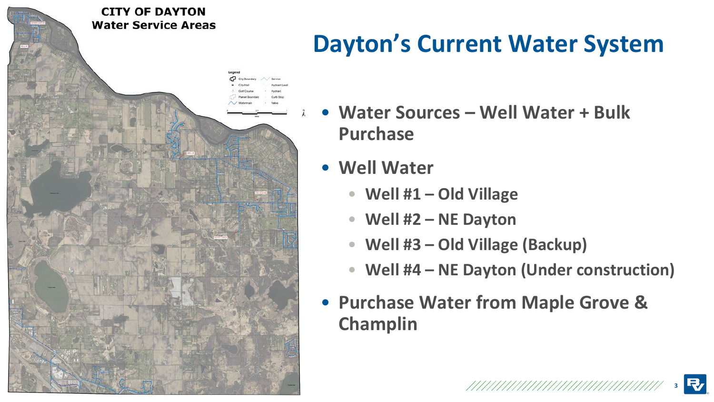

# **Dayton's Current Water System**

- **Water Sources – Well Water + Bulk Purchase**
- **Well Water**
	- **Well #1 – Old Village**
	- **Well #2 – NE Dayton**
	- **Well #3 – Old Village (Backup)**
	- **Well #4 – NE Dayton (Under construction)**

**3**

• **Purchase Water from Maple Grove & Champlin**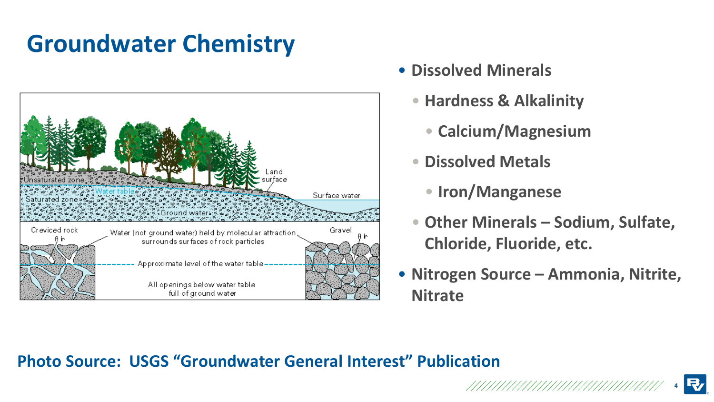# **Groundwater Chemistry**



- **Dissolved Minerals**
	- **Hardness & Alkalinity**
		- **Calcium/Magnesium**
	- **Dissolved Metals**
		- **Iron/Manganese**
	- **Other Minerals – Sodium, Sulfate, Chloride, Fluoride, etc.**
- **Nitrogen Source – Ammonia, Nitrite, Nitrate**

#### **Photo Source: USGS "Groundwater General Interest" Publication**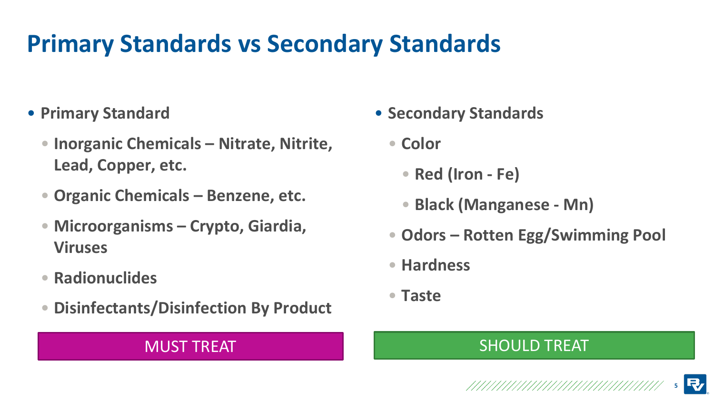# **Primary Standards vs Secondary Standards**

- **Primary Standard**
	- **Inorganic Chemicals – Nitrate, Nitrite, Lead, Copper, etc.**
	- **Organic Chemicals – Benzene, etc.**
	- **Microorganisms – Crypto, Giardia, Viruses**
	- **Radionuclides**
	- **Disinfectants/Disinfection By Product**

- **Secondary Standards**
	- **Color**
		- **Red (Iron - Fe)**
		- **Black (Manganese - Mn)**
	- **Odors – Rotten Egg/Swimming Pool**
	- **Hardness**
	- **Taste**

#### MUST TREAT THE SHOULD TREAT

**5**

**R**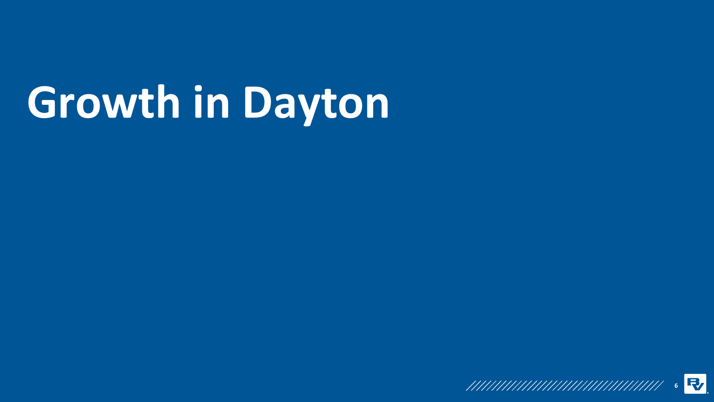# **Growth in Dayton**

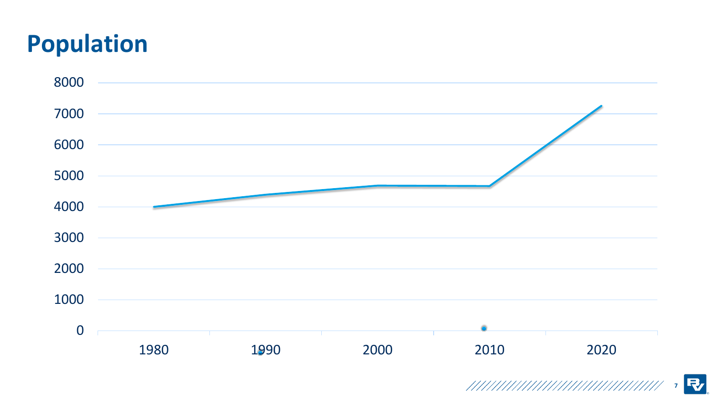# **Population**



**R**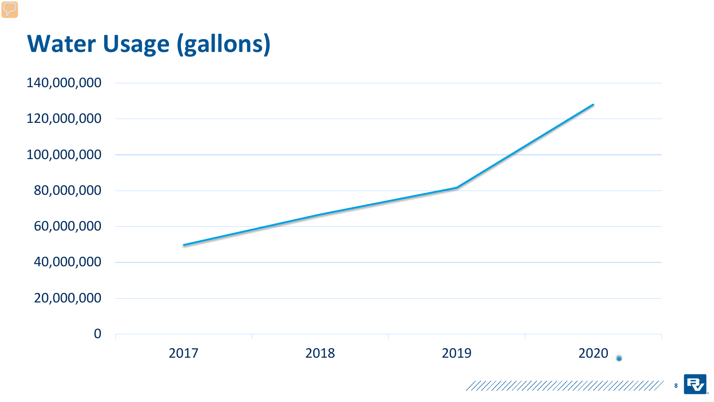# **Water Usage (gallons)**



**R 8**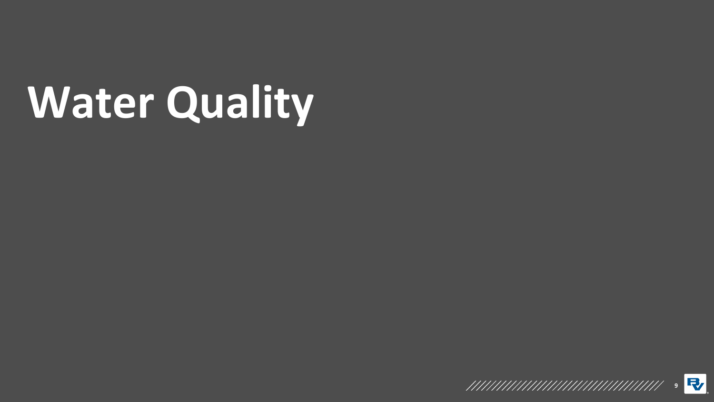# **Water Quality**

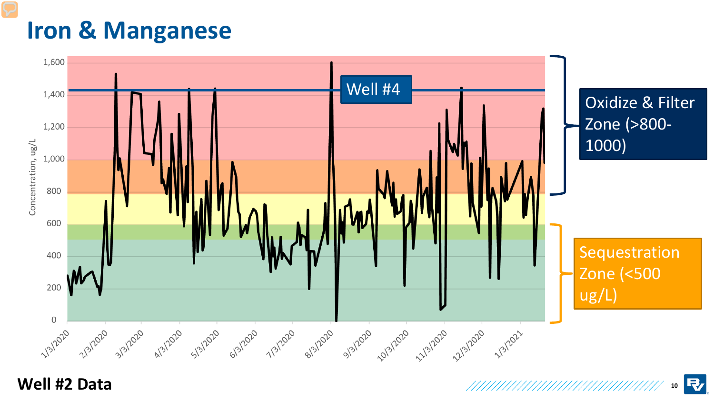### **Iron & Manganese**